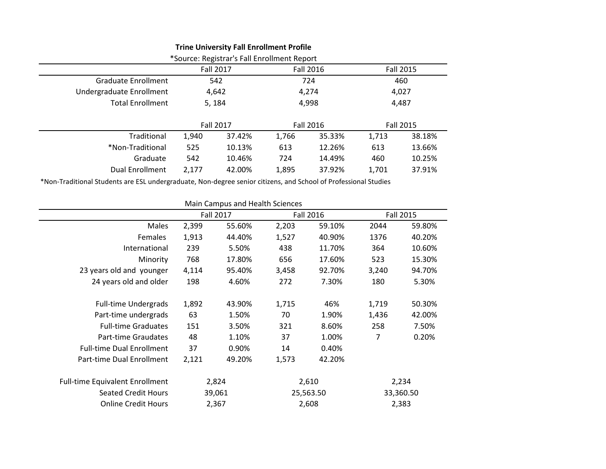|                            |           | *Source: Registrar's Fall Enrollment Report |           |        |                  |        |
|----------------------------|-----------|---------------------------------------------|-----------|--------|------------------|--------|
|                            | Fall 2017 |                                             | Fall 2016 |        | <b>Fall 2015</b> |        |
| <b>Graduate Enrollment</b> | 542       |                                             | 724       |        | 460              |        |
| Undergraduate Enrollment   | 4,642     |                                             | 4,274     |        | 4,027            |        |
| <b>Total Enrollment</b>    | 5, 184    |                                             | 4,998     |        | 4,487            |        |
|                            | Fall 2017 |                                             | Fall 2016 |        | Fall 2015        |        |
| Traditional                | 1,940     | 37.42%                                      | 1,766     | 35.33% | 1,713            | 38.18% |
| *Non-Traditional           | 525       | 10.13%                                      | 613       | 12.26% | 613              | 13.66% |
| Graduate                   | 542       | 10.46%                                      | 724       | 14.49% | 460              | 10.25% |
| <b>Dual Enrollment</b>     | 2,177     | 42.00%                                      | 1,895     | 37.92% | 1,701            | 37.91% |
|                            |           |                                             |           |        |                  |        |

**Trine University Fall Enrollment Profile**

\*Non-Traditional Students are ESL undergraduate, Non-degree senior citizens, and School of Professional Studies

|                                        |       | Main Campus and Health Sciences |                  |           |       |                  |  |
|----------------------------------------|-------|---------------------------------|------------------|-----------|-------|------------------|--|
|                                        |       | <b>Fall 2017</b>                | <b>Fall 2016</b> |           |       | <b>Fall 2015</b> |  |
| Males                                  | 2,399 | 55.60%                          | 2,203            | 59.10%    | 2044  | 59.80%           |  |
| Females                                | 1,913 | 44.40%                          | 1,527            | 40.90%    | 1376  | 40.20%           |  |
| International                          | 239   | 5.50%                           | 438              | 11.70%    | 364   | 10.60%           |  |
| Minority                               | 768   | 17.80%                          | 656              | 17.60%    | 523   | 15.30%           |  |
| 23 years old and younger               | 4,114 | 95.40%                          | 3,458            | 92.70%    | 3,240 | 94.70%           |  |
| 24 years old and older                 | 198   | 4.60%                           | 272              | 7.30%     | 180   | 5.30%            |  |
| <b>Full-time Undergrads</b>            | 1,892 | 43.90%                          | 1,715            | 46%       | 1,719 | 50.30%           |  |
| Part-time undergrads                   | 63    | 1.50%                           | 70               | 1.90%     | 1,436 | 42.00%           |  |
| <b>Full-time Graduates</b>             | 151   | 3.50%                           | 321              | 8.60%     | 258   | 7.50%            |  |
| Part-time Graudates                    | 48    | 1.10%                           | 37               | 1.00%     | 7     | 0.20%            |  |
| <b>Full-time Dual Enrollment</b>       | 37    | 0.90%                           | 14               | 0.40%     |       |                  |  |
| Part-time Dual Enrollment              | 2,121 | 49.20%                          | 1,573            | 42.20%    |       |                  |  |
| <b>Full-time Equivalent Enrollment</b> | 2,824 |                                 | 2,610            |           | 2,234 |                  |  |
| <b>Seated Credit Hours</b>             |       | 39,061                          |                  | 25,563.50 |       | 33,360.50        |  |
| <b>Online Credit Hours</b>             |       | 2,367                           |                  | 2,608     |       | 2,383            |  |